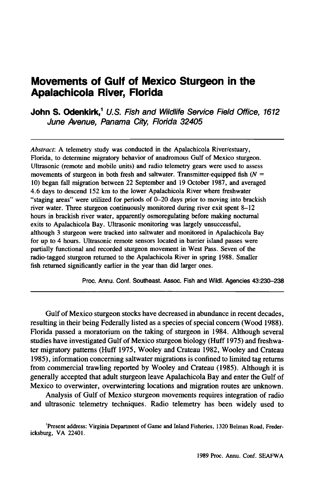# **Movements of Gulf of Mexico Sturgeon in the Apalachicola River, Florida**

**John S. Odenkirk,<sup>1</sup> U.S. Fish and Wildlife Service Field Office, 1612** June Avenue, Panama City, Florida 32405

*Abstract:* A telemetry study was conducted in the Apalachicola River/estuary, Florida, to determine migratory behavior of anadromous Gulf of Mexico sturgeon. Ultrasonic (remote and mobile units) and radio telemetry gears were used to assess movements of sturgeon in both fresh and saltwater. Transmitter-equipped fish  $(N =$ 10) began fall migration between 22 September and 19 October 1987, and averaged 4.6 days to descend 152 km to the lower Apalachicola River where freshwater "staging areas" were utilized for periods of 0-20 days prior to moving into brackish river water. Three sturgeon continuously monitored during river exit spent 8-12 hours in brackish river water, apparently osmoregulating before making nocturnal exits to Apalachicola Bay. Ultrasonic monitoring was largely unsuccessful, although 3 sturgeon were tracked into saltwater and monitored in Apalachicola Bay for up to 4 hours. Ultrasonic remote sensors located in barrier island passes were partially functional and recorded sturgeon movement in West Pass. Seven of the radio-tagged sturgeon returned to the Apalachicola River in spring 1988. Smaller fish returned significantly earlier in the year than did larger ones.

Proc. Annu. Conf. Southeast. Assoc. Fish and Wildl. Agencies 43:230-238

Gulf of Mexico sturgeon stocks have decreased in abundance in recent decades, resulting in their being Federally listed as a species of special concern (Wood 1988). Florida passed a moratorium on the taking of sturgeon in 1984. Although several studies have investigated Gulf of Mexico sturgeon biology (Huff 1975) and freshwater migratory patterns (Huff 1975, Wooley and Crateau 1982, Wooley and Crateau 1985), information concerning saltwater migrations is confined to limited tag returns from commercial trawling reported by Wooley and Crateau (1985). Although it is generally accepted that adult sturgeon leave Apalachicola Bay and enter the Gulf of Mexico to overwinter, overwintering locations and migration routes are unknown.

Analysis of Gulf of Mexico sturgeon movements requires integration of radio and ultrasonic telemetry techniques. Radio telemetry has been widely used to

'Present address: Virginia Department of Game and Inland Fisheries, 1320 Belman Road, Fredericksburg, VA 22401.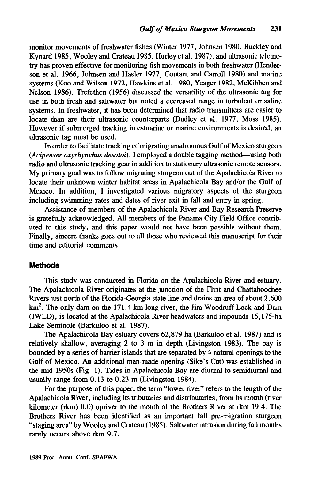monitor movements of freshwater fishes (Winter 1977, Johnsen 1980, Buckley and Kynard 1985, Wooley and Crateau 1985, Hurley et al. 1987), and ultrasonic telemetry has proven effective for monitoring fish movements in both freshwater (Henderson et al. 1966, Johnsen and Hasler 1977, Coutant and Carroll 1980) and marine systems (Koo and Wilson 1972, Hawkins et al. 1980, Yeager 1982, McKibben and Nelson 1986). Trefethen (1956) discussed the versatility of the ultrasonic tag for use in both fresh and saltwater but noted a decreased range in turbulent or saline systems. In freshwater, it has been determined that radio transmitters are easier to locate than are their ultrasonic counterparts (Dudley et al. 1977, Moss 1985). However if submerged tracking in estuarine or marine environments is desired, an ultrasonic tag must be used.

In order to facilitate tracking of migrating anadromous Gulf of Mexico sturgeon *(Acipenser oxyrhynchus desotoi)*, I employed a double tagging method-using both radio and ultrasonic tracking gear in addition to stationary ultrasonic remote sensors. My primary goal was to follow migrating sturgeon out of the Apalachicola River to locate their unknown winter habitat areas in Apalachicola Bay and/or the Gulf of Mexico. In addition, I investigated various migratory aspects of the sturgeon including swimming rates and dates of river exit in fall and entry in spring.

Assistance of members of the Apalachicola River and Bay Research Preserve is gratefully acknowledged. All members of the Panama City Field Office contributed to this study, and this paper would not have been possible without them. Finally, sincere thanks goes out to all those who reviewed this manuscript for their time and editorial comments.

#### **Methods**

This study was conducted in Florida on the Apalachicola River and estuary. The Apalachicola River originates at the junction of the Flint and Chattahoochee Rivers just north of the Florida-Georgia state line and drains an area of about 2,600  $km<sup>2</sup>$ . The only dam on the 171.4 km long river, the Jim Woodruff Lock and Dam (JWLD), is located at the Apalachicola River headwaters and impounds 15,175-ha Lake Seminole (Barkuloo et al. 1987).

The Apalachicola Bay estuary covers 62,879 ha (Barkuloo et al. 1987) and is relatively shallow, averaging 2 to 3 m in depth (Livingston 1983). The bay is bounded by a series of barrier islands that are separated by 4 natural openings to the Gulf of Mexico. An additional man-made opening (Sike's Cut) was established in the mid 1950s (Fig. I). Tides in Apalachicola Bay are diurnal to semidiurnal and usually range from 0.13 to 0.23 m (Livingston 1984).

For the purpose of this paper, the term "lower river" refers to the length of the Apalachicola River, including its tributaries and distributaries, from its mouth (river kilometer (rkm) 0.0) upriver to the mouth of the Brothers River at rkm 19.4. The Brothers River has been identified as an important fall pre-migration sturgeon "staging area" by Wooley and Crateau (1985). Saltwater intrusion during fall months rarely occurs above rkm 9.7.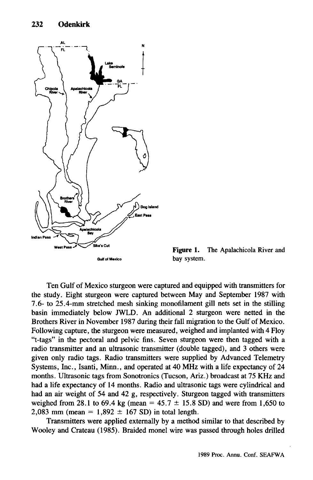

Figure 1. The Apalachicola River and bay system.

Ten Gulf of Mexico sturgeon were captured and equipped with transmitters for the study. Eight sturgeon were captured between May and September 1987 with 7.6- to 25.4-mm stretched mesh sinking monofilament gill nets set in the stilling basin immediately below JWLO. An additional 2 sturgeon were netted in the Brothers River in November 1987 during their fall migration to the Gulf of Mexico. Following capture, the sturgeon were measured, weighed and implanted with 4 Floy "t-tags" in the pectoral and pelvic fins. Seven sturgeon were then tagged with a radio transmitter and an ultrasonic transmitter (double tagged), and 3 others were given only radio tags. Radio transmitters were supplied by Advanced Telemetry Systems, Inc., Isanti, Minn., and operated at 40 MHz with a life expectancy of 24 months. Ultrasonic tags from Sonotronics (Tucson, Ariz.) broadcast at 75 KHz and had a life expectancy of 14 months. Radio and ultrasonic tags were cylindrical and had an air weight of 54 and 42 g, respectively. Sturgeon tagged with transmitters weighed from 28.1 to 69.4 kg (mean =  $45.7 \pm 15.8$  SD) and were from 1,650 to 2,083 mm (mean =  $1,892 \pm 167$  SD) in total length.

Transmitters were applied externally by a method similar to that described by Wooley and Crateau (1985). Braided monel wire was passed through holes drilled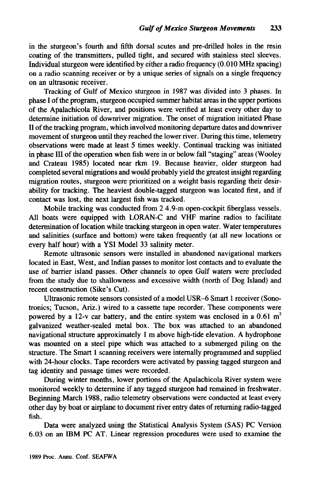in the sturgeon's fourth and fifth dorsal scutes and pre-drilled holes in the resin coating of the transmitters, pulled tight, and secured with stainless steel sleeves. Individual sturgeon were identified by either a radio frequency (0.010 MHz spacing) on a radio scanning receiver or by a unique series of signals on a single frequency on an ultrasonic receiver.

Tracking of Gulf of Mexico sturgeon in 1987 was divided into 3 phases. In phase I of the program, sturgeon occupied summer habitat areas in the upper portions of the Apalachicola River, and positions were verified at least every other day to determine initiation of downriver migration. The onset of migration initiated Phase II ofthe tracking program, which involved monitoring departure dates and downriver movement of sturgeon until they reached the lower river. During this time, telemetry observations were made at least 5 times weekly. Continual tracking was initiated in phase III of the operation when fish were in or below fall "staging" areas (Wooley and Crateau 1985) located near rkm 19. Because heavier, older sturgeon had completed several migrations and would probably yield the greatest insight regarding migration routes, sturgeon were prioritized on a weight basis regarding their desirability for tracking. The heaviest double-tagged sturgeon was located first, and if contact was lost, the next largest fish was tracked.

Mobile tracking was conducted from 2 4.9-m open-cockpit fiberglass vessels. All boats were equipped with LORAN-C and VHF marine radios to facilitate determination of location while tracking sturgeon in open water. Water temperatures and salinities (surface and bottom) were taken frequently (at all new locations or every half hour) with a YSI Model 33 salinity meter.

Remote ultrasonic sensors were installed in abandoned navigational markers located in East, West, and Indian passes to monitor lost contacts and to evaluate the use of barrier island passes. Other channels to open Gulf waters were precluded from the study due to shallowness and excessive width (north of Dog Island) and recent construction (Sike's Cut).

Ultrasonic remote sensors consisted of a model USR-6 Smart 1 receiver (Sonotronics; Tucson, Ariz.) wired to a cassette tape recorder. These components were powered by a 12-v car battery, and the entire system was enclosed in a 0.61  $m<sup>2</sup>$ galvanized weather-sealed metal box. The box was attached to an abandoned navigational structure approximately 1 m above high-tide elevation. A hydrophone was mounted on a steel pipe which was attached to a submerged piling on the structure. The Smart 1 scanning receivers were internally programmed and supplied with 24-hour clocks. Tape recorders were activated by passing tagged sturgeon and tag identity and passage times were recorded.

During winter months, lower portions of the Apalachicola River system were monitored weekly to determine if any tagged sturgeon had remained in freshwater. Beginning March 1988, radio telemetry observations were conducted at least every other day by boat or airplane to document river entry dates of returning radio-tagged fish.

Data were analyzed using the Statistical Analysis System (SAS) PC Version 6.03 on an IBM PC AT. Linear regression procedures were used to examine the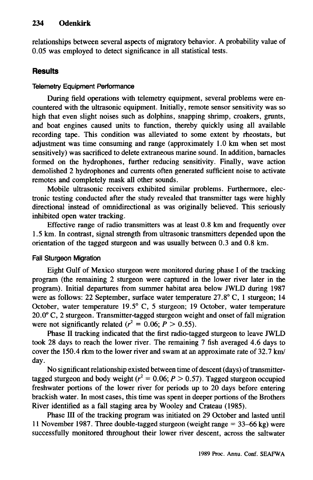## 234 **Odenkirk**

relationships between several aspects of migratory behavior. A probability value of 0.05 was employed to detect significance in all statistical tests.

## **Results**

#### Telemetry Equipment Performance

During field operations with telemetry equipment, several problems were encountered with the ultrasonic equipment. Initially, remote sensor sensitivity was so high that even slight noises such as dolphins, snapping shrimp, croakers, grunts, and boat engines caused units to function, thereby quickly using all available recording tape. This condition was alleviated to some extent by rheostats, but adjustment was time consuming and range (approximately  $1.0 \text{ km}$  when set most sensitively) was sacrificed to delete extraneous marine sound. In addition, barnacles formed on the hydrophones, further reducing sensitivity. Finally, wave action demolished 2 hydrophones and currents often generated sufficient noise to activate remotes and completely mask all other sounds.

Mobile ultrasonic receivers exhibited similar problems. Furthermore, electronic testing conducted after the study revealed that transmitter tags were highly directional instead of omnidirectional as was originally believed. This seriously inhibited open water tracking.

Effective range of radio transmitters was at least  $0.8$  km and frequently over 1.5 km. In contrast, signal strength from ultrasonic transmitters depended upon the orientation of the tagged sturgeon and was usually between  $0.3$  and  $0.8$  km.

### Fall Sturgeon Migration

Eight Gulf of Mexico sturgeon were monitored during phase I of the tracking prograrn (the remaining 2 sturgeon were captured in the lower river later in the program). Initial departures from summer habitat area below JWLD during 1987 were as follows: 22 September, surface water temperature 27.8° C, I sturgeon; 14 October, water temperature 19.5° C, 5 sturgeon; 19 October, water temperature 20.0° C, 2 sturgeon. Transmitter-tagged sturgeon weight and onset of fall migration were not significantly related ( $r^2 = 0.06$ ;  $P > 0.55$ ).

Phase II tracking indicated that the first radio-tagged sturgeon to leave JWLD took 28 days to reach the lower river. The remaining 7 fish averaged 4.6 days to cover the 150.4 rkm to the lower river and swam at an approximate rate of  $32.7 \text{ km/s}$ day.

No significant relationship existed between time of descent (days) of transmittertagged sturgeon and body weight ( $r^2 = 0.06$ ;  $P > 0.57$ ). Tagged sturgeon occupied freshwater portions of the lower river for periods up to 20 days before entering brackish water. In most cases, this time was spent in deeper portions of the Brothers River identified as a fall staging area by Wooley and Crateau (1985).

Phase III of the tracking program was initiated on 29 October and lasted until <sup>11</sup> November 1987. Three double-tagged sturgeon (weight range = 33-66 kg) were successfully monitored throughout their lower river descent, across the saltwater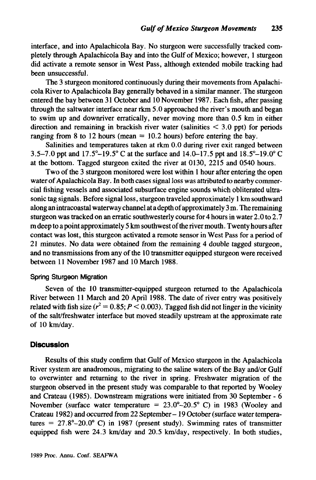interface, and into Apalachicola Bay. No sturgeon were successfully tracked completely through Apalachicola Bay and into the Gulf of Mexico; however, 1 sturgeon did activate a remote sensor in West Pass, although extended mobile tracking had been unsuccessful.

The 3 sturgeon monitored continuously during their movements from Apalachicola River to Apalachicola Bay generally behaved in a similar manner. The sturgeon entered the bay between 31 October and 10 November 1987. Each fish, after passing through the saltwater interface near rkm 5.0 approached the river's mouth and began to swim up and downriver erratically, never moving more than 0.5 km in either direction and remaining in brackish river water (salinities  $\leq$  3.0 ppt) for periods ranging from 8 to 12 hours (mean  $= 10.2$  hours) before entering the bay.

Salinities and temperatures taken at rkm 0.0 during river exit ranged between 3.5-7.0 ppt and 17.5°-19.5° C at the surface and 14.0-17.5 ppt and  $18.5^{\circ}$ -19.0° C at the bottom. Tagged sturgeon exited the river at 0130, 2215 and 0540 hours.

Two of the 3 sturgeon monitored were lost within 1 hour after entering the open water of Apalachicola Bay. In both cases signal loss was attributed to nearby commercial fishing vessels and associated subsurface engine sounds which obliterated ultrasonic tag signals. Before signal loss, sturgeon traveled approximately 1km southward along an intracoastal waterway channel at a depth of approximately  $3 \text{ m}$ . The remaining sturgeon was tracked on an erratic southwesterly course for 4 hours in water 2.0 to 2.7 mdeep to a point approximately 5 km southwestofthe river mouth. Twenty hours after contact was lost, this sturgeon activated a remote sensor in West Pass for a period of 21 minutes. No data were obtained from the remaining 4 double tagged sturgeon, and no transmissions from any of the 10 transmitter equipped sturgeon were received between 11 November 1987 and 10 March 1988.

#### Spring Sturgeon Migration

Seven of the 10 transmitter-equipped sturgeon returned to the Apalachicola River between 11 March and 20 April 1988. The date of river entry was positively related with fish size  $(r^2 = 0.85; P \le 0.003)$ . Tagged fish did not linger in the vicinity of the salt/freshwater interface but moved steadily upstream at the approximate rate of 10 km/day.

#### **Discussion**

Results of this study confirm that Gulf of Mexico sturgeon in the Apalachicola River system are anadromous, migrating to the saline waters of the Bay andlor Gulf to overwinter and returning to the river in spring. Freshwater migration of the sturgeon observed in the present study was comparable to that reported by Wooley and Crateau (1985). Downstream migrations were initiated from 30 September - 6 November (surface water temperature  $= 23.0^{\circ} - 20.5^{\circ}$  C) in 1983 (Wooley and Crateau 1982) and occurred from 22 September- 19 October (surface watertemperatures =  $27.8^{\circ} - 20.0^{\circ}$  C) in 1987 (present study). Swimming rates of transmitter equipped fish were  $24.3 \text{ km/day}$  and  $20.5 \text{ km/day}$ , respectively. In both studies,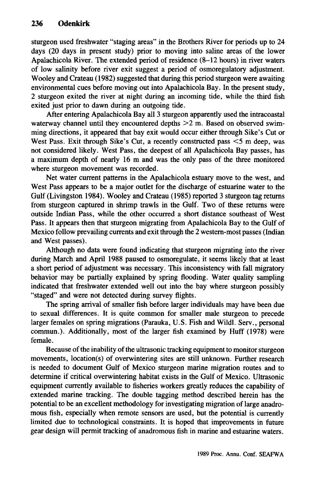sturgeon used freshwater "staging areas" in the Brothers River for periods up to 24 days (20 days in present study) prior to moving into saline areas of the lower Apalachicola River. The extended period of residence (8-12 hours) in river waters of low salinity before river exit suggest a period of osmoregulatory adjustment. Wooley and Crateau (1982) suggested that during this period sturgeon were awaiting environmental cues before moving out into Apalachicola Bay. In the present study, 2 sturgeon exited the river at night during an incoming tide, while the third fish exited just prior to dawn during an outgoing tide.

After entering Apalachicola Bay all 3 sturgeon apparently used the intracoastal waterway channel until they encountered depths  $>2$  m. Based on observed swimming directions, it appeared that bay exit would occur either through Sike's Cut or West Pass. Exit through Sike's Cut, a recently constructed pass  $\leq 5$  m deep, was not considered likely. West Pass, the deepest of all Apalachicola Bay passes, has a maximum depth of nearly 16 m and was the only pass of the three monitored where sturgeon movement was recorded.

Net water current patterns in the Apalachicola estuary move to the west, and West Pass appears to be a major outlet for the discharge of estuarine water to the Gulf (Livingston 1984). Wooley and Crateau (1985) reported 3 sturgeon tag returns from sturgeon captured in shrimp trawls in the Gulf. Two of these returns were outside Indian Pass, while the other occurred a short distance southeast of West Pass. It appears then that sturgeon migrating from Apalachicola Bay to the Gulf of Mexico follow prevailing currents and exit through the 2 western-most passes (Indian and West passes).

Although no data were found indicating that sturgeon migrating into the river during March and April 1988 paused to osmoregulate, it seems likely that at least a short period of adjustment was necessary. This inconsistency with fall migratory behavior may be partially explained by spring flooding. Water quality sampling indicated that freshwater extended well out into the bay where sturgeon possibly "staged" and were not detected during survey flights.

The spring arrival of smaller fish before larger individuals may have been due to sexual differences. It is quite common for smaller male sturgeon to precede larger females on spring migrations (Parauka, U.S. Fish and Wildl. Serv., personal commun.). Additionally, most of the larger fish examined by Huff (1978) were female.

Because of the inability of the ultrasonic tracking equipment to monitor sturgeon movements, location(s) of overwintering sites are still unknown. Further research is needed to document Gulf of Mexico sturgeon marine migration routes and to determine if critical overwintering habitat exists in the Gulf of Mexico. Ultrasonic equipment currently available to fisheries workers greatly reduces the capability of extended marine tracking. The double tagging method described herein has the potential to be an excellent methodology for investigating migration of large anadromous fish, especially when remote sensors are used, but the potential is currently limited due to technological constraints. It is hoped that improvements in future gear design will permit tracking of anadromous fish in marine and estuarine waters.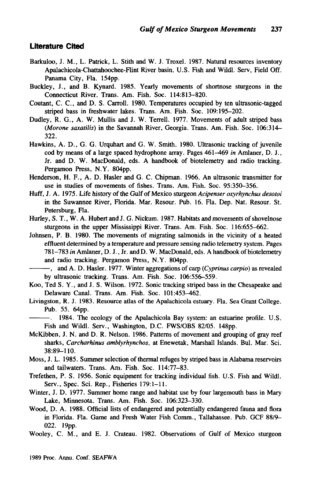#### **Literature Cited**

- Barkuloo, J. M., L. Patrick, L. Stith and W. J. Troxel. 1987. Natural resources inventory Apalachicola-Chattahoochee-Flint River basin. U.S. Fish and Wildl. Serv, Field Off. Panama City, Fla. 154pp.
- Buckley, J., and B. Kynard. 1985. Yearly movements of shortnose sturgeons in the Connecticut River. Trans. Am. Fish. Soc. 114:813-820.
- Coutant, C. C., and D. S. Carroll. 1980. Temperatures occupied by ten ultrasonic-tagged striped bass in freshwater lakes. Trans. Am. Fish. Soc. 109:195-202.
- Dudley, R. G., A. W. Mullis and J. W. Terrell. 1977. Movements of adult striped bass *(Morone saxatilis)* in the Savannah River, Georgia. Trans. Am. Fish. Soc. 106:314- 322.
- Hawkins, A. D., G. G. Urquhart and G. W. Smith. 1980. Ultrasonic tracking of juvenile cod by means of a large spaced hydrophone array. Pages 461-469 *in* Amlaner, D. J., Jr. and D. W. MacDonald, eds. A handbook of biotelemetry and radio tracking. Pergamon Press, N. Y. 804pp.
- Henderson, H. F., A. D. Hasler and G. C. Chipman. 1966. An ultrasonic transmitter for use in studies of movements of fishes. Trans. Am. Fish. Soc. 95:350-356.
- Huff, J. A. 1975. Life history of the Gulf of Mexico sturgeon *Acipenser oxyrhynchus desotoi* in the Suwannee River, Florida. Mar. Resour. Pub. 16. Fla. Dep. Nat. Resour. St. Petersburg, Fla.
- Hurley, S. T., W. A. Hubert and J. G. Nickum. 1987. Habitats and movements of shovelnose sturgeons in the upper Mississippi River. Trans. Am. Fish. Soc. 116:655-662.
- Johnsen, P. B. 1980. The movements of migrating salmonids in the vicinity of a heated effluent determined by a temperature and pressure sensing radio telemetry system. Pages 781-783 *in* Amlaner, D. J., Jr. and D. W. MacDonald, eds. A handbook of biotelemetry and radio tracking. Pergamon Press, N.Y. 804pp.

- Koo, Ted S. Y., and J. S. Wilson. 1972. Sonic tracking striped bass in the Chesapeake and Delaware Canal. Trans. Am. Fish. Soc. 101:453-462.
- Livingston, R. J. 1983. Resource atlas of the Apalachicola estuary. Fla. Sea Grant College. Pub. 55. 64pp.

-. 1984. The ecology of the Apalachicola Bay system: an estuarine profile. U.S. Fish and Wildl. Serv., Washington, D.C. FWS/OBS 82/05. 148pp.

- McKibben, J. N. and D. R. Nelson. 1986. Patterns of movement and grouping of gray reef sharks, *Carcharhinus amblyrhynchos,* at Enewetak, Marshall Islands. Bul. Mar. Sci. 38:89-110.
- Moss, J. L. 1985. Summer selection of thermal refuges by striped bass in Alabama reservoirs and tailwaters. Trans. Am. Fish. Soc. 114:77-83.
- Trefethen, P. S. 1956. Sonic equipment for tracking individual fish. U.S. Fish and Wildl. Serv., Spec. Sci. Rep., Fisheries 179:1-11.
- Winter, J. D. 1977. Summer home range and habitat use by four largemouth bass in Mary Lake, Minnesota. Trans. Am. Fish. Soc. 106:323-330.
- Wood, D. A. 1988. Official lists of endangered and potentially endangered fauna and flora in Florida. Fla. Game and Fresh Water Fish Comm., Tallahassee. Pub. GCF 88/9- 022. 19pp.

<sup>---,</sup> and A. D. Hasler. 1977. Winter aggregations of carp *(Cyprinus carpio)* as revealed by ultrasonic tracking. Trans. Am. Fish. Soc. 106:556-559.

Wooley, C. M., and E. J. Crateau. 1982. Observations of Gulf of Mexico sturgeon